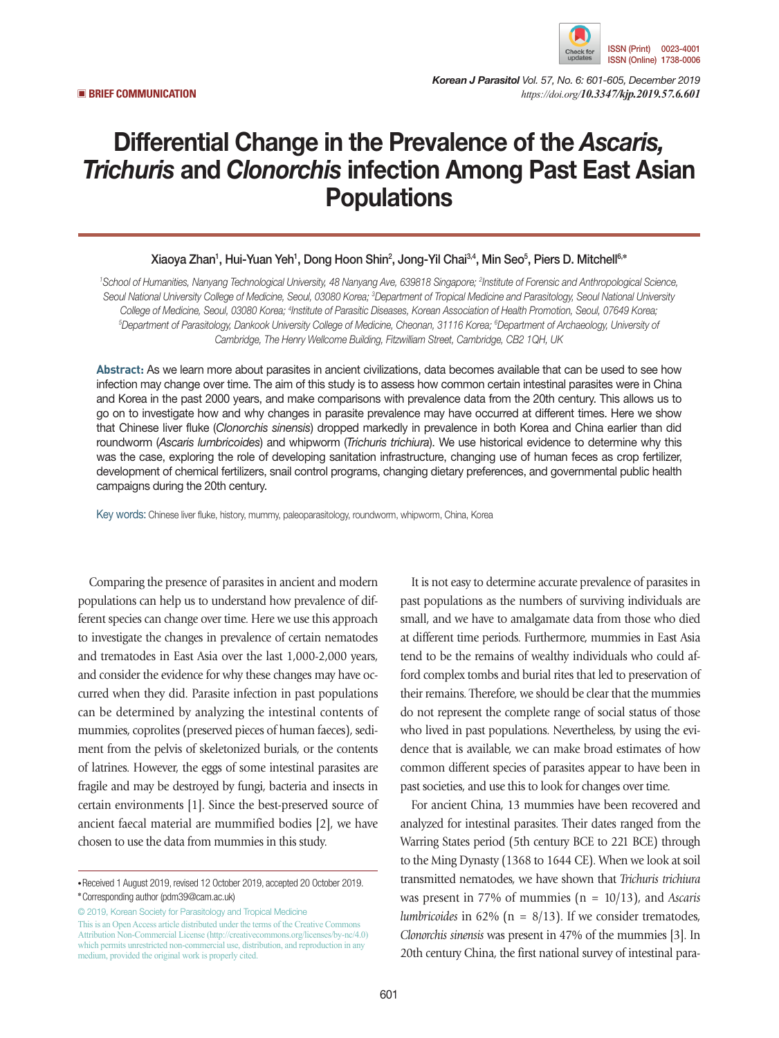

*Korean J Parasitol Vol. 57, No. 6: 601-605, December 2019* ▣ **BRIEF COMMUNICATION** *https://doi.org/10.3347/kjp.2019.57.6.601*

## Differential Change in the Prevalence of the *Ascaris, Trichuris* and *Clonorchis* infection Among Past East Asian **Populations**

## Xiaoya Zhan<sup>1</sup>, Hui-Yuan Yeh<sup>1</sup>, Dong Hoon Shin<sup>2</sup>, Jong-Yil Chai<sup>3,4</sup>, Min Seo<sup>5</sup>, Piers D. Mitchell<sup>6,</sup>\*

<sup>1</sup> School of Humanities, Nanyang Technological University, 48 Nanyang Ave, 639818 Singapore; <sup>2</sup>Institute of Forensic and Anthropological Science, Seoul National University College of Medicine, Seoul, 03080 Korea; <sup>3</sup>Department of Tropical Medicine and Parasitology, Seoul National University *College of Medicine, Seoul, 03080 Korea; 4* College of Medicine, Seoul, 03080 Korea; <sup>4</sup>Institute of Parasitic Diseases, Korean Association of Health Promotion, Seoul, 07649 Korea;<br><sup>5</sup>Department of Parasitology, Dankook University College of Medicine, Cheonan, 31116 *Cambridge, The Henry Wellcome Building, Fitzwilliam Street, Cambridge, CB2 1 QH, UK*

**Abstract:** As we learn more about parasites in ancient civilizations, data becomes available that can be used to see how infection may change over time. The aim of this study is to assess how common certain intestinal parasites were in China and Korea in the past 2000 years, and make comparisons with prevalence data from the 20th century. This allows us to go on to investigate how and why changes in parasite prevalence may have occurred at different times. Here we show that Chinese liver fluke (*Clonorchis sinensis*) dropped markedly in prevalence in both Korea and China earlier than did roundworm (*Ascaris lumbricoides*) and whipworm (*Trichuris trichiura*). We use historical evidence to determine why this was the case, exploring the role of developing sanitation infrastructure, changing use of human feces as crop fertilizer, development of chemical fertilizers, snail control programs, changing dietary preferences, and governmental public health campaigns during the 20th century.

Key words: Chinese liver fluke, history, mummy, paleoparasitology, roundworm, whipworm, China, Korea

Comparing the presence of parasites in ancient and modern populations can help us to understand how prevalence of different species can change over time. Here we use this approach to investigate the changes in prevalence of certain nematodes and trematodes in East Asia over the last 1,000-2,000 years, and consider the evidence for why these changes may have occurred when they did. Parasite infection in past populations can be determined by analyzing the intestinal contents of mummies, coprolites (preserved pieces of human faeces), sediment from the pelvis of skeletonized burials, or the contents of latrines. However, the eggs of some intestinal parasites are fragile and may be destroyed by fungi, bacteria and insects in certain environments [1]. Since the best-preserved source of ancient faecal material are mummified bodies [2], we have chosen to use the data from mummies in this study.

© 2019, Korean Society for Parasitology and Tropical Medicine This is an Open Access article distributed under the terms of the Creative Commons Attribution Non-Commercial License (http://creativecommons.org/licenses/by-nc/4.0) which permits unrestricted non-commercial use, distribution, and reproduction in any medium, provided the original work is properly cited.

It is not easy to determine accurate prevalence of parasites in past populations as the numbers of surviving individuals are small, and we have to amalgamate data from those who died at different time periods. Furthermore, mummies in East Asia tend to be the remains of wealthy individuals who could afford complex tombs and burial rites that led to preservation of their remains. Therefore, we should be clear that the mummies do not represent the complete range of social status of those who lived in past populations. Nevertheless, by using the evidence that is available, we can make broad estimates of how common different species of parasites appear to have been in past societies, and use this to look for changes over time.

For ancient China, 13 mummies have been recovered and analyzed for intestinal parasites. Their dates ranged from the Warring States period (5th century BCE to 221 BCE) through to the Ming Dynasty (1368 to 1644 CE). When we look at soil transmitted nematodes, we have shown that *Trichuris trichiura* was present in 77% of mummies (n = 10/13), and *Ascaris lumbricoides* in 62% (n = 8/13). If we consider trematodes, *Clonorchis sinensis* was present in 47% of the mummies [3]. In 20th century China, the first national survey of intestinal para-

**<sup>•</sup>**Received 1 August 2019, revised 12 October 2019, accepted 20 October 2019. **\***Corresponding author (pdm39@cam.ac.uk)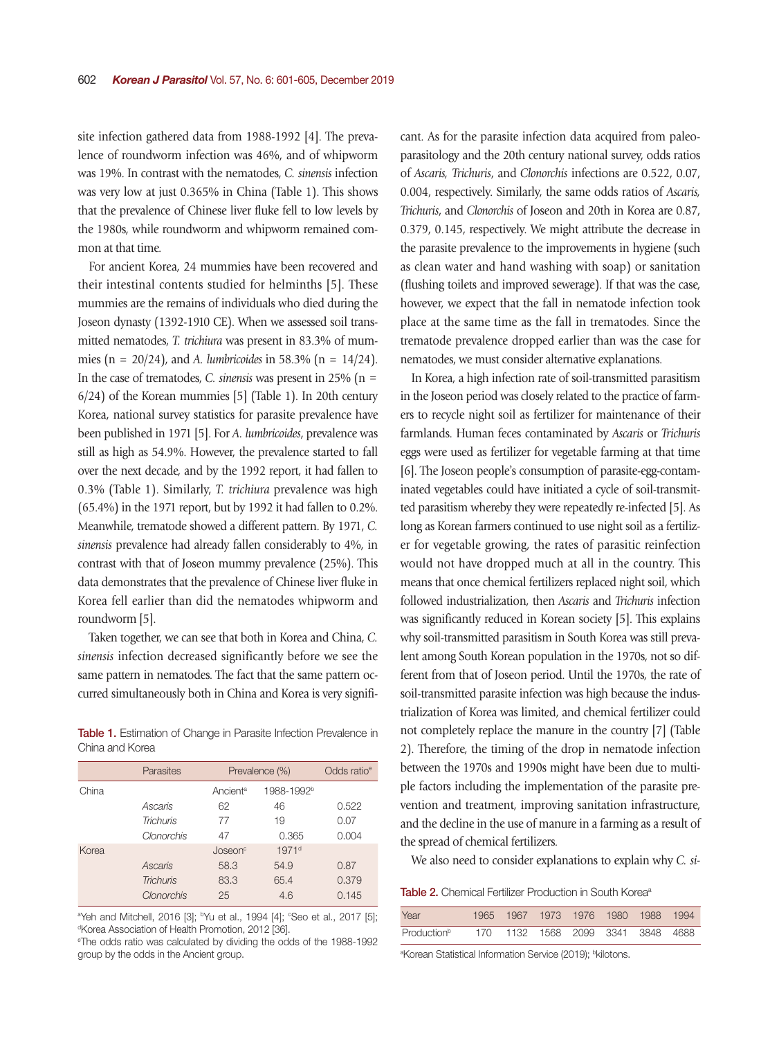site infection gathered data from 1988-1992 [4]. The prevalence of roundworm infection was 46%, and of whipworm was 19%. In contrast with the nematodes, *C. sinensis* infection was very low at just 0.365% in China (Table 1). This shows that the prevalence of Chinese liver fluke fell to low levels by the 1980s, while roundworm and whipworm remained common at that time.

For ancient Korea, 24 mummies have been recovered and their intestinal contents studied for helminths [5]. These mummies are the remains of individuals who died during the Joseon dynasty (1392-1910 CE). When we assessed soil transmitted nematodes, *T. trichiura* was present in 83.3% of mummies (n = 20/24), and *A. lumbricoides* in 58.3% (n = 14/24). In the case of trematodes, *C. sinensis* was present in 25% (n = 6/24) of the Korean mummies [5] (Table 1). In 20th century Korea, national survey statistics for parasite prevalence have been published in 1971 [5]. For *A. lumbricoides*, prevalence was still as high as 54.9%. However, the prevalence started to fall over the next decade, and by the 1992 report, it had fallen to 0.3% (Table 1). Similarly, *T. trichiura* prevalence was high (65.4%) in the 1971 report, but by 1992 it had fallen to 0.2%. Meanwhile, trematode showed a different pattern. By 1971, *C. sinensis* prevalence had already fallen considerably to 4%, in contrast with that of Joseon mummy prevalence (25%). This data demonstrates that the prevalence of Chinese liver fluke in Korea fell earlier than did the nematodes whipworm and roundworm [5].

Taken together, we can see that both in Korea and China, *C. sinensis* infection decreased significantly before we see the same pattern in nematodes. The fact that the same pattern occurred simultaneously both in China and Korea is very signifi-

Table 1. Estimation of Change in Parasite Infection Prevalence in China and Korea

|       | Parasites        | Prevalence (%)       | Odds ratio <sup>e</sup> |       |
|-------|------------------|----------------------|-------------------------|-------|
| China |                  | Ancient <sup>a</sup> | 1988-1992 <sup>b</sup>  |       |
|       | Ascaris          | 62                   | 46                      | 0.522 |
|       | <b>Trichuris</b> | 77                   | 19                      | 0.07  |
|       | Clonorchis       | 47                   | 0.365                   | 0.004 |
| Korea |                  | Joseon <sup>c</sup>  | $1971$ <sup>d</sup>     |       |
|       | Ascaris          | 58.3                 | 54.9                    | 0.87  |
|       | <b>Trichuris</b> | 83.3                 | 65.4                    | 0.379 |
|       | Clonorchis       | 25                   | 4.6                     | 0.145 |
|       |                  |                      |                         |       |

 $\alpha$ Yeh and Mitchell, 2016 [3]; <sup>b</sup>Yu et al., 1994 [4]; <sup>c</sup>Seo et al., 2017 [5];<br>Korea Association of Health Promotion, 2012 [36] <sup>d</sup>Korea Association of Health Promotion, 2012 [36].

e The odds ratio was calculated by dividing the odds of the 1988-1992 group by the odds in the Ancient group.

cant. As for the parasite infection data acquired from paleoparasitology and the 20th century national survey, odds ratios of *Ascaris, Trichuris*, and *Clonorchis* infections are 0.522, 0.07, 0.004, respectively. Similarly, the same odds ratios of *Ascaris, Trichuris*, and *Clonorchis* of Joseon and 20th in Korea are 0.87, 0.379, 0.145, respectively. We might attribute the decrease in the parasite prevalence to the improvements in hygiene (such as clean water and hand washing with soap) or sanitation (flushing toilets and improved sewerage). If that was the case, however, we expect that the fall in nematode infection took place at the same time as the fall in trematodes. Since the trematode prevalence dropped earlier than was the case for nematodes, we must consider alternative explanations.

In Korea, a high infection rate of soil-transmitted parasitism in the Joseon period was closely related to the practice of farmers to recycle night soil as fertilizer for maintenance of their farmlands. Human feces contaminated by *Ascaris* or *Trichuris*  eggs were used as fertilizer for vegetable farming at that time [6]. The Joseon people's consumption of parasite-egg-contaminated vegetables could have initiated a cycle of soil-transmitted parasitism whereby they were repeatedly re-infected [5]. As long as Korean farmers continued to use night soil as a fertilizer for vegetable growing, the rates of parasitic reinfection would not have dropped much at all in the country. This means that once chemical fertilizers replaced night soil, which followed industrialization, then *Ascaris* and *Trichuris* infection was significantly reduced in Korean society [5]. This explains why soil-transmitted parasitism in South Korea was still prevalent among South Korean population in the 1970s, not so different from that of Joseon period. Until the 1970s, the rate of soil-transmitted parasite infection was high because the industrialization of Korea was limited, and chemical fertilizer could not completely replace the manure in the country [7] (Table 2). Therefore, the timing of the drop in nematode infection between the 1970s and 1990s might have been due to multiple factors including the implementation of the parasite prevention and treatment, improving sanitation infrastructure, and the decline in the use of manure in a farming as a result of the spread of chemical fertilizers.

We also need to consider explanations to explain why *C. si-*

Table 2. Chemical Fertilizer Production in South Korea<sup>®</sup>

| Year                    |  |  | 1965 1967 1973 1976 1980 1988 1994 |  |
|-------------------------|--|--|------------------------------------|--|
| Production <sup>b</sup> |  |  | 170 1132 1568 2099 3341 3848 4688  |  |

<sup>a</sup>Korean Statistical Information Service (2019); <sup>b</sup>kilotons.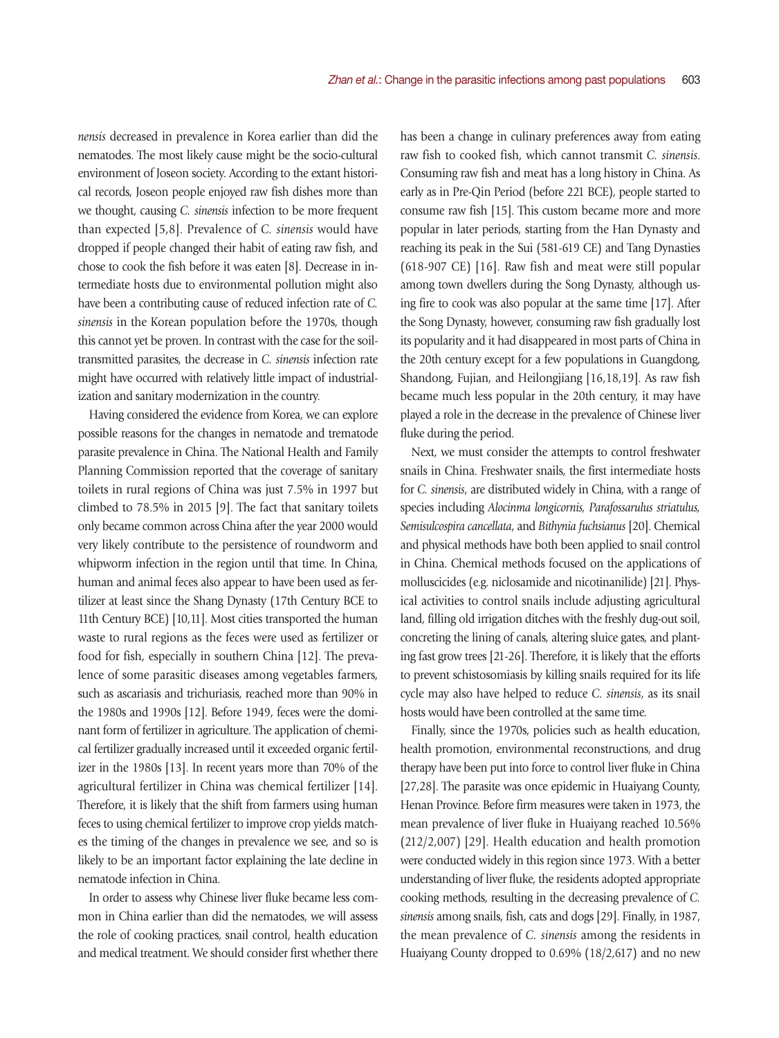*nensis* decreased in prevalence in Korea earlier than did the nematodes. The most likely cause might be the socio-cultural environment of Joseon society. According to the extant historical records, Joseon people enjoyed raw fish dishes more than we thought, causing *C. sinensis* infection to be more frequent than expected [5,8]. Prevalence of *C. sinensis* would have dropped if people changed their habit of eating raw fish, and chose to cook the fish before it was eaten [8]. Decrease in intermediate hosts due to environmental pollution might also have been a contributing cause of reduced infection rate of *C. sinensis* in the Korean population before the 1970s, though this cannot yet be proven. In contrast with the case for the soiltransmitted parasites, the decrease in *C. sinensis* infection rate might have occurred with relatively little impact of industrialization and sanitary modernization in the country.

Having considered the evidence from Korea, we can explore possible reasons for the changes in nematode and trematode parasite prevalence in China. The National Health and Family Planning Commission reported that the coverage of sanitary toilets in rural regions of China was just 7.5% in 1997 but climbed to 78.5% in 2015 [9]. The fact that sanitary toilets only became common across China after the year 2000 would very likely contribute to the persistence of roundworm and whipworm infection in the region until that time. In China, human and animal feces also appear to have been used as fertilizer at least since the Shang Dynasty (17th Century BCE to 11th Century BCE) [10,11]. Most cities transported the human waste to rural regions as the feces were used as fertilizer or food for fish, especially in southern China [12]. The prevalence of some parasitic diseases among vegetables farmers, such as ascariasis and trichuriasis, reached more than 90% in the 1980s and 1990s [12]. Before 1949, feces were the dominant form of fertilizer in agriculture. The application of chemical fertilizer gradually increased until it exceeded organic fertilizer in the 1980s [13]. In recent years more than 70% of the agricultural fertilizer in China was chemical fertilizer [14]. Therefore, it is likely that the shift from farmers using human feces to using chemical fertilizer to improve crop yields matches the timing of the changes in prevalence we see, and so is likely to be an important factor explaining the late decline in nematode infection in China.

In order to assess why Chinese liver fluke became less common in China earlier than did the nematodes, we will assess the role of cooking practices, snail control, health education and medical treatment. We should consider first whether there has been a change in culinary preferences away from eating raw fish to cooked fish, which cannot transmit *C. sinensis*. Consuming raw fish and meat has a long history in China. As early as in Pre-Qin Period (before 221 BCE), people started to consume raw fish [15]. This custom became more and more popular in later periods, starting from the Han Dynasty and reaching its peak in the Sui (581-619 CE) and Tang Dynasties (618-907 CE) [16]. Raw fish and meat were still popular among town dwellers during the Song Dynasty, although using fire to cook was also popular at the same time [17]. After the Song Dynasty, however, consuming raw fish gradually lost its popularity and it had disappeared in most parts of China in the 20th century except for a few populations in Guangdong, Shandong, Fujian, and Heilongjiang [16,18,19]. As raw fish became much less popular in the 20th century, it may have played a role in the decrease in the prevalence of Chinese liver fluke during the period.

Next, we must consider the attempts to control freshwater snails in China. Freshwater snails, the first intermediate hosts for *C. sinensis*, are distributed widely in China, with a range of species including *Alocinma longicornis, Parafossarulus striatulus, Semisulcospira cancellata*, and *Bithynia fuchsianus* [20]. Chemical and physical methods have both been applied to snail control in China. Chemical methods focused on the applications of molluscicides (e.g. niclosamide and nicotinanilide) [21]. Physical activities to control snails include adjusting agricultural land, filling old irrigation ditches with the freshly dug-out soil, concreting the lining of canals, altering sluice gates, and planting fast grow trees [21-26]. Therefore, it is likely that the efforts to prevent schistosomiasis by killing snails required for its life cycle may also have helped to reduce *C. sinensis*, as its snail hosts would have been controlled at the same time.

Finally, since the 1970s, policies such as health education, health promotion, environmental reconstructions, and drug therapy have been put into force to control liver fluke in China [27,28]. The parasite was once epidemic in Huaiyang County, Henan Province. Before firm measures were taken in 1973, the mean prevalence of liver fluke in Huaiyang reached 10.56% (212/2,007) [29]. Health education and health promotion were conducted widely in this region since 1973. With a better understanding of liver fluke, the residents adopted appropriate cooking methods, resulting in the decreasing prevalence of *C. sinensis* among snails, fish, cats and dogs [29]. Finally, in 1987, the mean prevalence of *C. sinensis* among the residents in Huaiyang County dropped to 0.69% (18/2,617) and no new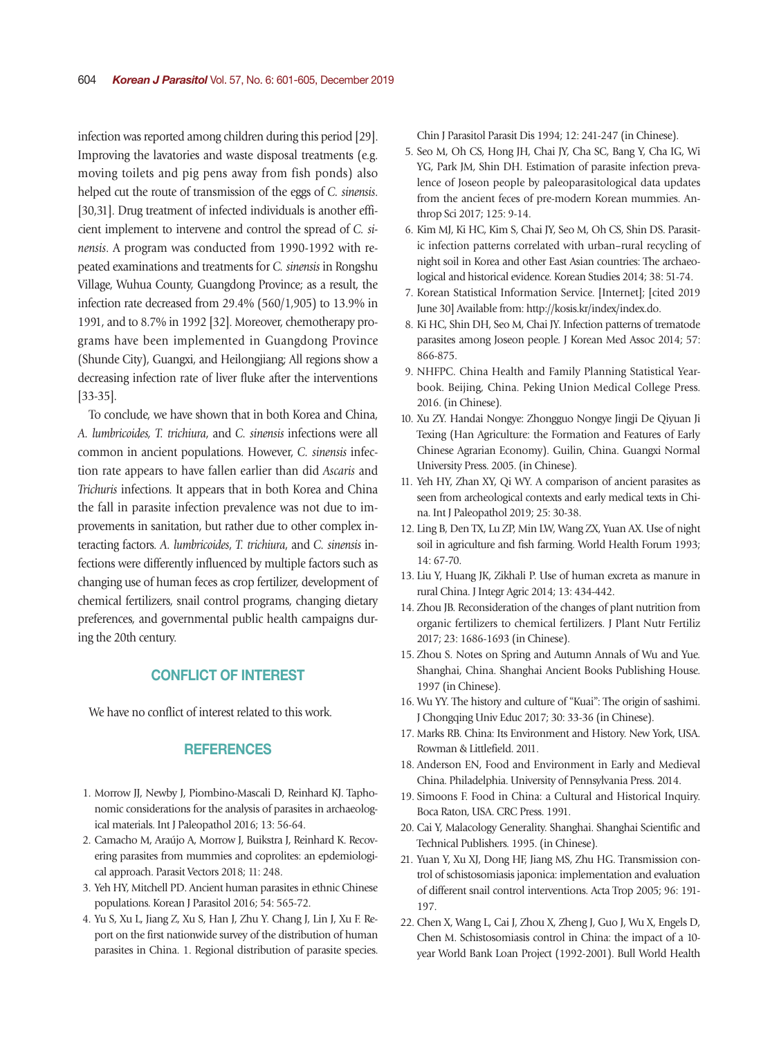infection was reported among children during this period [29]. Improving the lavatories and waste disposal treatments (e.g. moving toilets and pig pens away from fish ponds) also helped cut the route of transmission of the eggs of *C. sinensis*. [30,31]. Drug treatment of infected individuals is another efficient implement to intervene and control the spread of *C. sinensis*. A program was conducted from 1990-1992 with repeated examinations and treatments for *C. sinensis* in Rongshu Village, Wuhua County, Guangdong Province; as a result, the infection rate decreased from 29.4% (560/1,905) to 13.9% in 1991, and to 8.7% in 1992 [32]. Moreover, chemotherapy programs have been implemented in Guangdong Province (Shunde City), Guangxi, and Heilongjiang; All regions show a decreasing infection rate of liver fluke after the interventions [33-35].

To conclude, we have shown that in both Korea and China, *A. lumbricoides, T. trichiura*, and *C. sinensis* infections were all common in ancient populations. However, *C. sinensis* infection rate appears to have fallen earlier than did *Ascaris* and *Trichuris* infections. It appears that in both Korea and China the fall in parasite infection prevalence was not due to improvements in sanitation, but rather due to other complex interacting factors. *A. lumbricoides*, *T. trichiura*, and *C. sinensis* infections were differently influenced by multiple factors such as changing use of human feces as crop fertilizer, development of chemical fertilizers, snail control programs, changing dietary preferences, and governmental public health campaigns during the 20th century.

## CONFLICT OF INTEREST

We have no conflict of interest related to this work.

## **REFERENCES**

- 1. Morrow JJ, Newby J, Piombino-Mascali D, Reinhard KJ. Taphonomic considerations for the analysis of parasites in archaeological materials. Int J Paleopathol 2016; 13: 56-64.
- 2. Camacho M, Araújo A, Morrow J, Buikstra J, Reinhard K. Recovering parasites from mummies and coprolites: an epdemiological approach. Parasit Vectors 2018; 11: 248.
- 3. Yeh HY, Mitchell PD. Ancient human parasites in ethnic Chinese populations. Korean J Parasitol 2016; 54: 565-72.
- 4. Yu S, Xu L, Jiang Z, Xu S, Han J, Zhu Y. Chang J, Lin J, Xu F. Report on the first nationwide survey of the distribution of human parasites in China. 1. Regional distribution of parasite species.

Chin J Parasitol Parasit Dis 1994; 12: 241-247 (in Chinese).

- 5. Seo M, Oh CS, Hong JH, Chai JY, Cha SC, Bang Y, Cha IG, Wi YG, Park JM, Shin DH. Estimation of parasite infection prevalence of Joseon people by paleoparasitological data updates from the ancient feces of pre-modern Korean mummies. Anthrop Sci 2017; 125: 9-14.
- 6. Kim MJ, Ki HC, Kim S, Chai JY, Seo M, Oh CS, Shin DS. Parasitic infection patterns correlated with urban–rural recycling of night soil in Korea and other East Asian countries: The archaeological and historical evidence. Korean Studies 2014; 38: 51-74.
- 7. Korean Statistical Information Service. [Internet]; [cited 2019 June 30] Available from: http://kosis.kr/index/index.do.
- 8. Ki HC, Shin DH, Seo M, Chai JY. Infection patterns of trematode parasites among Joseon people. J Korean Med Assoc 2014; 57: 866-875.
- 9. NHFPC. China Health and Family Planning Statistical Yearbook. Beijing, China. Peking Union Medical College Press. 2016. (in Chinese).
- 10. Xu ZY. Handai Nongye: Zhongguo Nongye Jingji De Qiyuan Ji Texing (Han Agriculture: the Formation and Features of Early Chinese Agrarian Economy). Guilin, China. Guangxi Normal University Press. 2005. (in Chinese).
- 11. Yeh HY, Zhan XY, Qi WY. A comparison of ancient parasites as seen from archeological contexts and early medical texts in China. Int J Paleopathol 2019; 25: 30-38.
- 12. Ling B, Den TX, Lu ZP, Min LW, Wang ZX, Yuan AX. Use of night soil in agriculture and fish farming. World Health Forum 1993; 14: 67-70.
- 13. Liu Y, Huang JK, Zikhali P. Use of human excreta as manure in rural China. J Integr Agric 2014; 13: 434-442.
- 14. Zhou JB. Reconsideration of the changes of plant nutrition from organic fertilizers to chemical fertilizers. J Plant Nutr Fertiliz 2017; 23: 1686-1693 (in Chinese).
- 15. Zhou S. Notes on Spring and Autumn Annals of Wu and Yue. Shanghai, China. Shanghai Ancient Books Publishing House. 1997 (in Chinese).
- 16. Wu YY. The history and culture of "Kuai": The origin of sashimi. J Chongqing Univ Educ 2017; 30: 33-36 (in Chinese).
- 17. Marks RB. China: Its Environment and History. New York, USA. Rowman & Littlefield. 2011.
- 18. Anderson EN, Food and Environment in Early and Medieval China. Philadelphia. University of Pennsylvania Press. 2014.
- 19. Simoons F. Food in China: a Cultural and Historical Inquiry. Boca Raton, USA. CRC Press. 1991.
- 20. Cai Y, Malacology Generality. Shanghai. Shanghai Scientific and Technical Publishers. 1995. (in Chinese).
- 21. Yuan Y, Xu XJ, Dong HF, Jiang MS, Zhu HG. Transmission control of schistosomiasis japonica: implementation and evaluation of different snail control interventions. Acta Trop 2005; 96: 191- 197.
- 22. Chen X, Wang L, Cai J, Zhou X, Zheng J, Guo J, Wu X, Engels D, Chen M. Schistosomiasis control in China: the impact of a 10 year World Bank Loan Project (1992-2001). Bull World Health